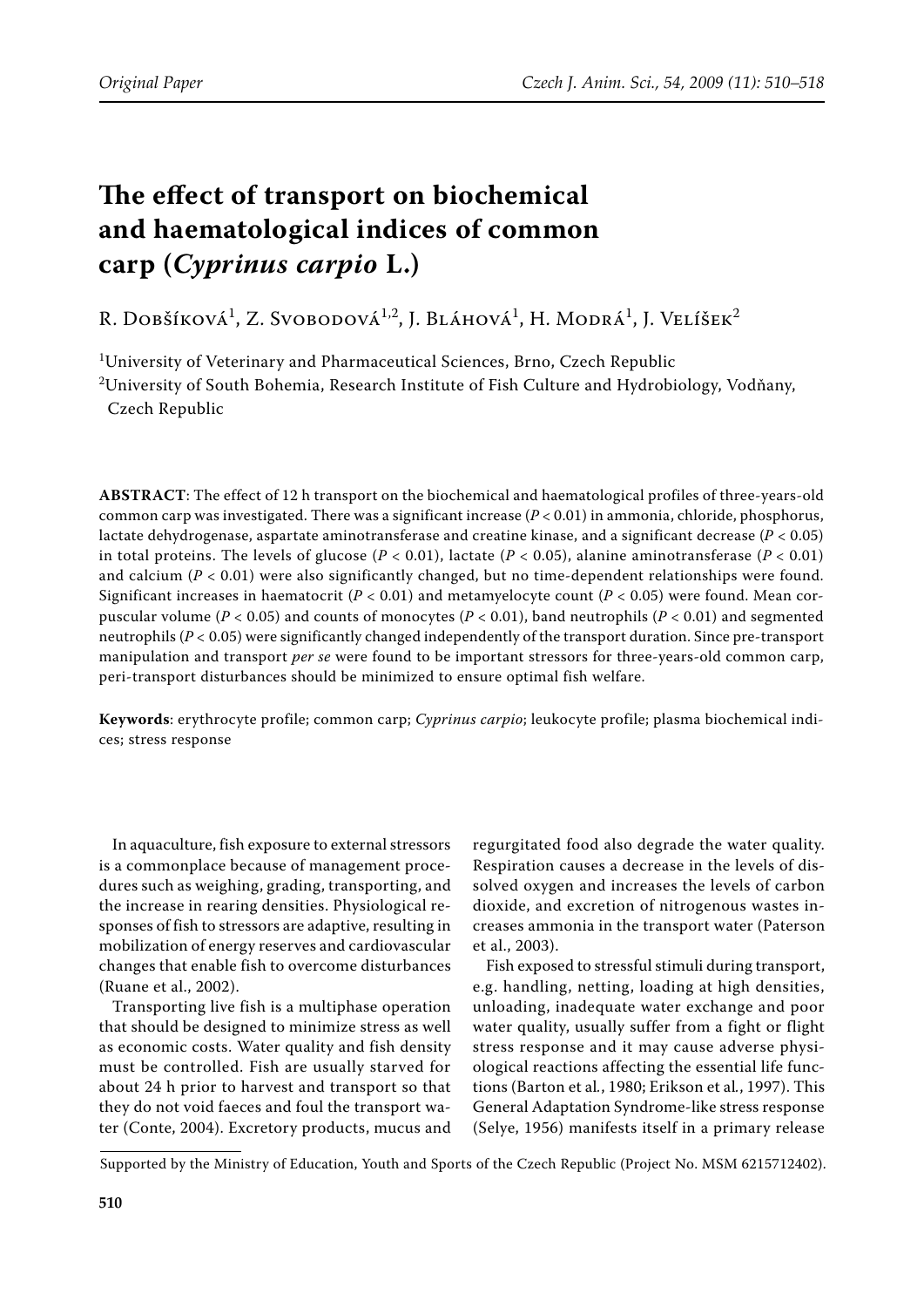# **The effect of transport on biochemical and haematological indices of common carp (***Cyprinus carpio* **L.)**

R. Dobšíková<sup>1</sup>, Z. Svobodová<sup>1,2</sup>, J. Bláhová<sup>1</sup>, H. Modrá<sup>1</sup>, J. Velíšek<sup>2</sup>

 $^{\rm 1}$ University of Veterinary and Pharmaceutical Sciences, Brno, Czech Republic

 $^{2}$ University of South Bohemia, Research Institute of Fish Culture and Hydrobiology, Vodňany, Czech Republic

**ABSTRACT**: The effect of 12 h transport on the biochemical and haematological profiles of three-years-old common carp was investigated. There was a significant increase (*P* < 0.01) in ammonia, chloride, phosphorus, lactate dehydrogenase, aspartate aminotransferase and creatine kinase, and a significant decrease (*P* < 0.05) in total proteins. The levels of glucose  $(P < 0.01)$ , lactate  $(P < 0.05)$ , alanine aminotransferase  $(P < 0.01)$ and calcium ( $P < 0.01$ ) were also significantly changed, but no time-dependent relationships were found. Significant increases in haematocrit ( $P < 0.01$ ) and metamyelocyte count ( $P < 0.05$ ) were found. Mean corpuscular volume (*P* < 0.05) and counts of monocytes (*P* < 0.01), band neutrophils (*P* < 0.01) and segmented neutrophils (*P* < 0.05) were significantly changed independently of the transport duration. Since pre-transport manipulation and transport *per se* were found to be important stressors for three-years-old common carp, peri-transport disturbances should be minimized to ensure optimal fish welfare.

**Keywords**: erythrocyte profile; common carp; *Cyprinus carpio*; leukocyte profile; plasma biochemical indices; stress response

In aquaculture, fish exposure to external stressors is a commonplace because of management procedures such as weighing, grading, transporting, and the increase in rearing densities. Physiological responses of fish to stressors are adaptive, resulting in mobilization of energy reserves and cardiovascular changes that enable fish to overcome disturbances (Ruane et al., 2002).

Transporting live fish is a multiphase operation that should be designed to minimize stress as well as economic costs. Water quality and fish density must be controlled. Fish are usually starved for about 24 h prior to harvest and transport so that they do not void faeces and foul the transport water (Conte, 2004). Excretory products, mucus and

regurgitated food also degrade the water quality. Respiration causes a decrease in the levels of dissolved oxygen and increases the levels of carbon dioxide, and excretion of nitrogenous wastes increases ammonia in the transport water (Paterson et al., 2003).

Fish exposed to stressful stimuli during transport, e.g. handling, netting, loading at high densities, unloading, inadequate water exchange and poor water quality, usually suffer from a fight or flight stress response and it may cause adverse physiological reactions affecting the essential life functions (Barton et al*.*, 1980; Erikson et al*.*, 1997). This General Adaptation Syndrome-like stress response (Selye, 1956) manifests itself in a primary release

Supported by the Ministry of Education, Youth and Sports of the Czech Republic (Project No. MSM 6215712402).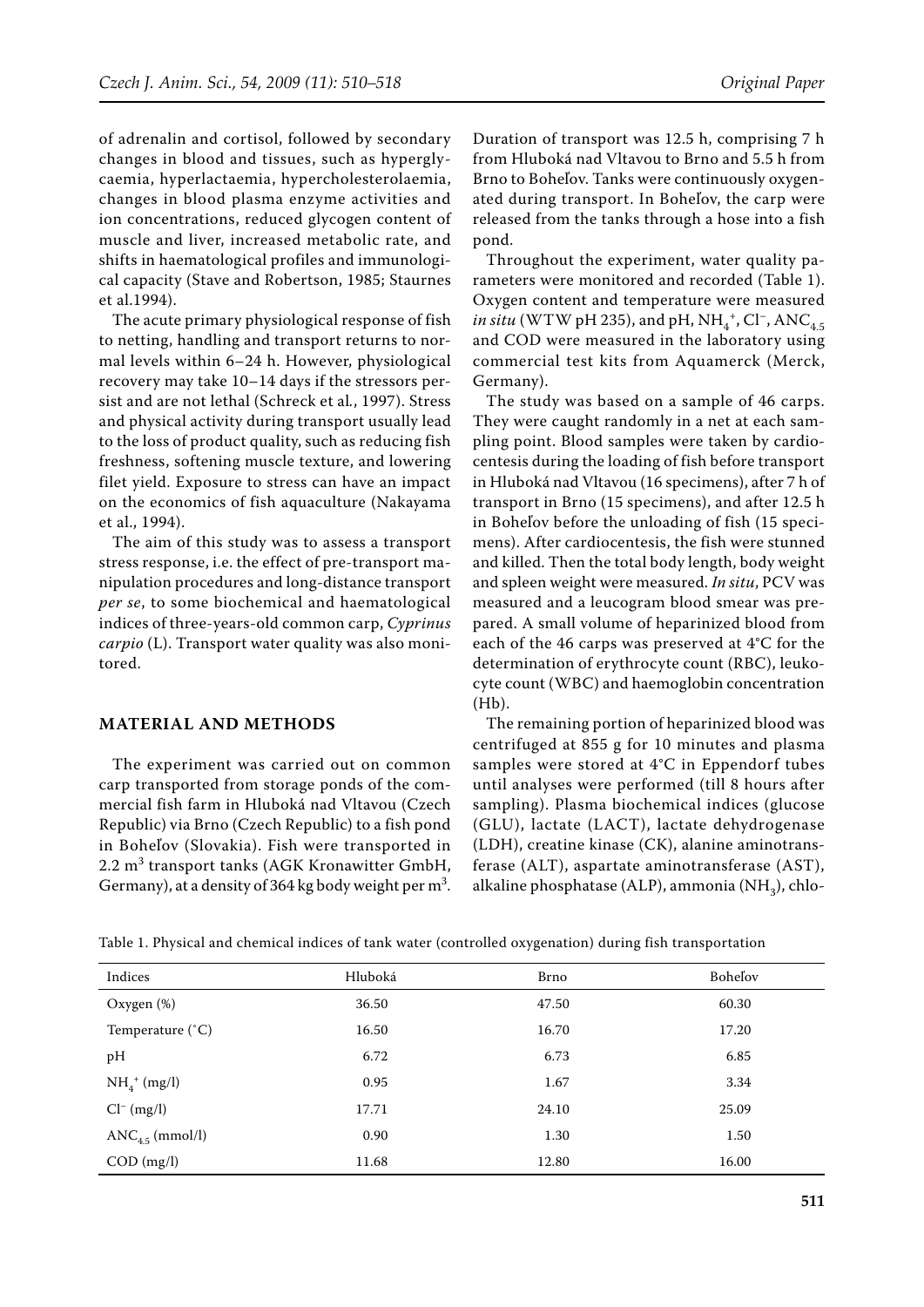of adrenalin and cortisol, followed by secondary changes in blood and tissues, such as hyperglycaemia, hyperlactaemia, hypercholesterolaemia, changes in blood plasma enzyme activities and ion concentrations, reduced glycogen content of muscle and liver, increased metabolic rate, and shifts in haematological profiles and immunological capacity (Stave and Robertson, 1985; Staurnes et al.1994).

The acute primary physiological response of fish to netting, handling and transport returns to normal levels within 6–24 h. However, physiological recovery may take 10–14 days if the stressors persist and are not lethal (Schreck et al*.*, 1997). Stress and physical activity during transport usually lead to the loss of product quality, such as reducing fish freshness, softening muscle texture, and lowering filet yield. Exposure to stress can have an impact on the economics of fish aquaculture (Nakayama et al., 1994).

The aim of this study was to assess a transport stress response, i.e. the effect of pre-transport manipulation procedures and long-distance transport *per se*, to some biochemical and haematological indices of three-years-old common carp, *Cyprinus carpio* (L). Transport water quality was also monitored.

## **MATERIAL AND METHODS**

The experiment was carried out on common carp transported from storage ponds of the commercial fish farm in Hluboká nad Vltavou (Czech Republic) via Brno (Czech Republic) to a fish pond in Boheľov (Slovakia). Fish were transported in 2.2 m<sup>3</sup> transport tanks (AGK Kronawitter GmbH, Germany), at a density of 364 kg body weight per  $m^3$ .

Duration of transport was 12.5 h, comprising 7 h from Hluboká nad Vltavou to Brno and 5.5 h from Brno to Boheľov. Tanks were continuously oxygenated during transport. In Boheľov, the carp were released from the tanks through a hose into a fish pond.

Throughout the experiment, water quality parameters were monitored and recorded (Table 1). Oxygen content and temperature were measured *in situ* (WTW pH 235), and pH,  $NH_4^+$ , Cl<sup>-</sup>, ANC<sub>4.5</sub> and COD were measured in the laboratory using commercial test kits from Aquamerck (Merck, Germany).

The study was based on a sample of 46 carps. They were caught randomly in a net at each sampling point. Blood samples were taken by cardiocentesis during the loading of fish before transport in Hluboká nad Vltavou (16 specimens), after 7 h of transport in Brno (15 specimens), and after 12.5 h in Boheľov before the unloading of fish (15 specimens). After cardiocentesis, the fish were stunned and killed. Then the total body length, body weight and spleen weight were measured. *In situ*, PCV was measured and a leucogram blood smear was prepared. A small volume of heparinized blood from each of the 46 carps was preserved at 4°C for the determination of erythrocyte count (RBC), leukocyte count (WBC) and haemoglobin concentration (Hb).

The remaining portion of heparinized blood was centrifuged at 855 g for 10 minutes and plasma samples were stored at 4°C in Eppendorf tubes until analyses were performed (till 8 hours after sampling). Plasma biochemical indices (glucose (GLU), lactate (LACT), lactate dehydrogenase (LDH), creatine kinase (CK), alanine aminotransferase (ALT), aspartate aminotransferase (AST), alkaline phosphatase (ALP), ammonia (NH<sub>2</sub>), chlo-

|  | Table 1. Physical and chemical indices of tank water (controlled oxygenation) during fish transportation |
|--|----------------------------------------------------------------------------------------------------------|
|--|----------------------------------------------------------------------------------------------------------|

| Indices                     | Hluboká | Brno  | <b>Bohelov</b> |
|-----------------------------|---------|-------|----------------|
| Oxygen (%)                  | 36.50   | 47.50 | 60.30          |
| Temperature $(^{\circ}C)$   | 16.50   | 16.70 | 17.20          |
| pH                          | 6.72    | 6.73  | 6.85           |
| $NH_4^+$ (mg/l)             | 0.95    | 1.67  | 3.34           |
| $Cl^{-} (mg/l)$             | 17.71   | 24.10 | 25.09          |
| ANC <sub>4.5</sub> (mmol/l) | 0.90    | 1.30  | 1.50           |
| $COD$ (mg/l)                | 11.68   | 12.80 | 16.00          |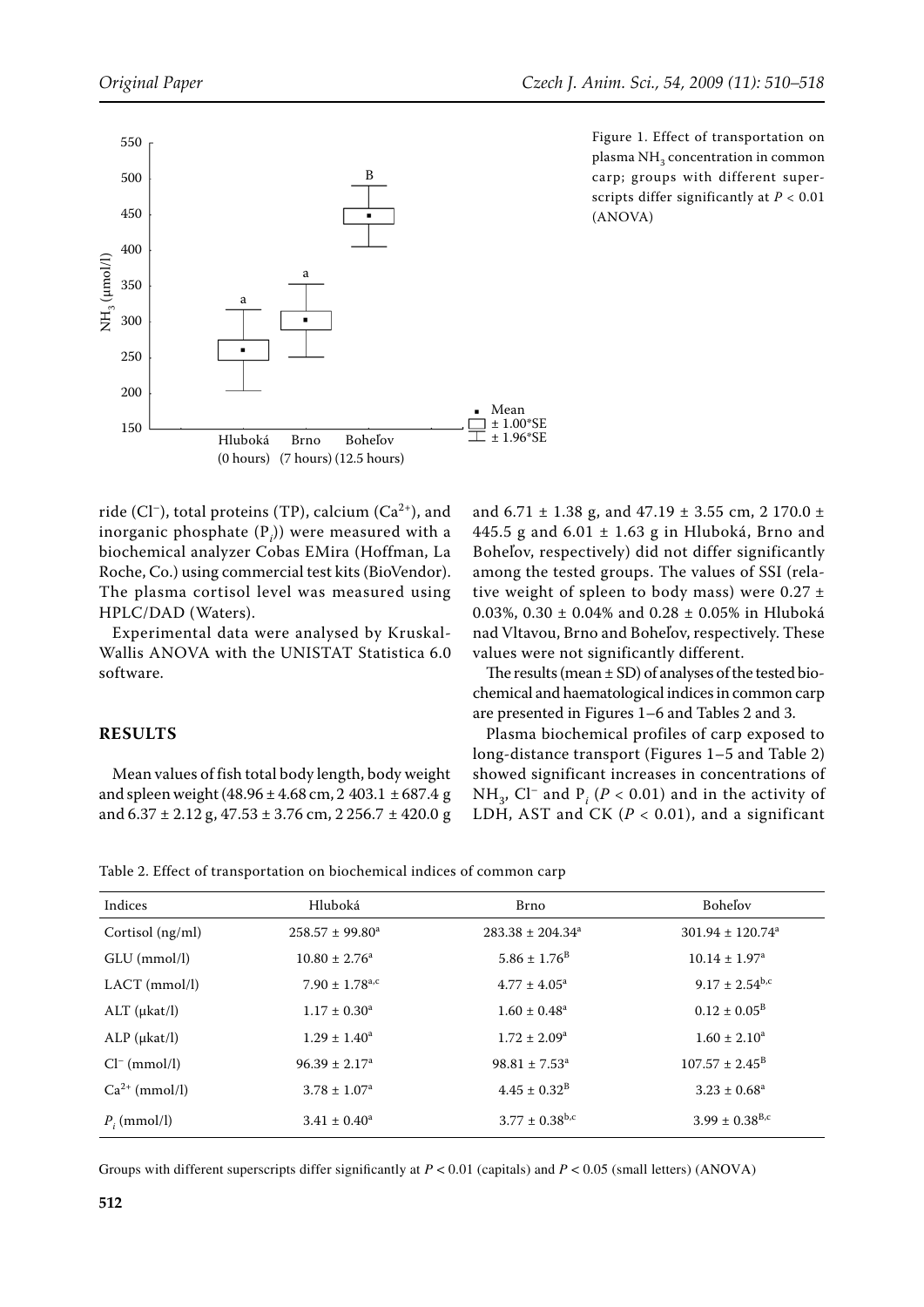

ride (Cl<sup>-</sup>), total proteins (TP), calcium ( $Ca<sup>2+</sup>$ ), and inorganic phosphate (P*<sup>i</sup>* )) were measured with a biochemical analyzer Cobas EMira (Hoffman, La Roche, Co.) using commercial test kits (BioVendor). The plasma cortisol level was measured using HPLC/DAD (Waters).

Experimental data were analysed by Kruskal-Wallis ANOVA with the UNISTAT Statistica 6.0 software.

### **RESULTS**

Mean values of fish total body length, body weight and spleen weight (48.96  $\pm$  4.68 cm, 2 403.1  $\pm$  687.4 g and  $6.37 \pm 2.12$  g,  $47.53 \pm 3.76$  cm,  $2.256.7 \pm 420.0$  g Figure 1. Effect of transportation on plasma NH<sub>3</sub> concentration in common carp; groups with different superscripts differ significantly at *P* < 0.01 (ANOVA)

and 6.71  $\pm$  1.38 g, and 47.19  $\pm$  3.55 cm, 2 170.0  $\pm$ 445.5 g and  $6.01 \pm 1.63$  g in Hluboká, Brno and Boheľov, respectively) did not differ significantly among the tested groups. The values of SSI (relative weight of spleen to body mass) were  $0.27 \pm$ 0.03%, 0.30 ± 0.04% and 0.28 ± 0.05% in Hluboká nad Vltavou, Brno and Boheľov, respectively. These values were not significantly different.

The results (mean  $\pm$  SD) of analyses of the tested biochemical and haematological indices in common carp are presented in Figures 1–6 and Tables 2 and 3.

Plasma biochemical profiles of carp exposed to long-distance transport (Figures 1–5 and Table 2) showed significant increases in concentrations of NH<sub>3</sub>, Cl<sup>–</sup> and P<sub>*i*</sub> (P < 0.01) and in the activity of LDH, AST and CK  $(P < 0.01)$ , and a significant

| Table 2. Effect of transportation on biochemical indices of common carp |  |  |
|-------------------------------------------------------------------------|--|--|
|-------------------------------------------------------------------------|--|--|

| Indices              | Hluboká                        | Brno                           | <b>Bohelov</b>                   |
|----------------------|--------------------------------|--------------------------------|----------------------------------|
| Cortisol $(ng/ml)$   | $258.57 \pm 99.80^a$           | $283.38 \pm 204.34^a$          | $301.94 \pm 120.74$ <sup>a</sup> |
| GLU (mmol/l)         | $10.80 \pm 2.76^a$             | $5.86 \pm 1.76^{\rm B}$        | $10.14 \pm 1.97^{\text{a}}$      |
| LACT (mmol/l)        | $7.90 \pm 1.78$ <sup>a,c</sup> | $4.77 \pm 4.05^{\circ}$        | $9.17 \pm 2.54^{b,c}$            |
| $ALT$ ( $\mu$ kat/l) | $1.17 \pm 0.30^a$              | $1.60 \pm 0.48^a$              | $0.12 \pm 0.05^{\rm B}$          |
| $ALP$ ( $\mu$ kat/l) | $1.29 \pm 1.40^a$              | $1.72 \pm 2.09^a$              | $1.60 \pm 2.10^a$                |
| $Cl^{-}$ (mmol/l)    | $96.39 \pm 2.17^a$             | $98.81 \pm 7.53^a$             | $107.57 \pm 2.45^{\mathrm{B}}$   |
| $Ca^{2+}$ (mmol/l)   | $3.78 \pm 1.07^{\rm a}$        | $4.45 \pm 0.32^{\rm B}$        | $3.23 \pm 0.68^a$                |
| $P_i$ (mmol/l)       | $3.41 \pm 0.40^a$              | $3.77 \pm 0.38$ <sup>b,c</sup> | $3.99 \pm 0.38$ <sup>B,c</sup>   |

Groups with different superscripts differ significantly at  $P < 0.01$  (capitals) and  $P < 0.05$  (small letters) (ANOVA)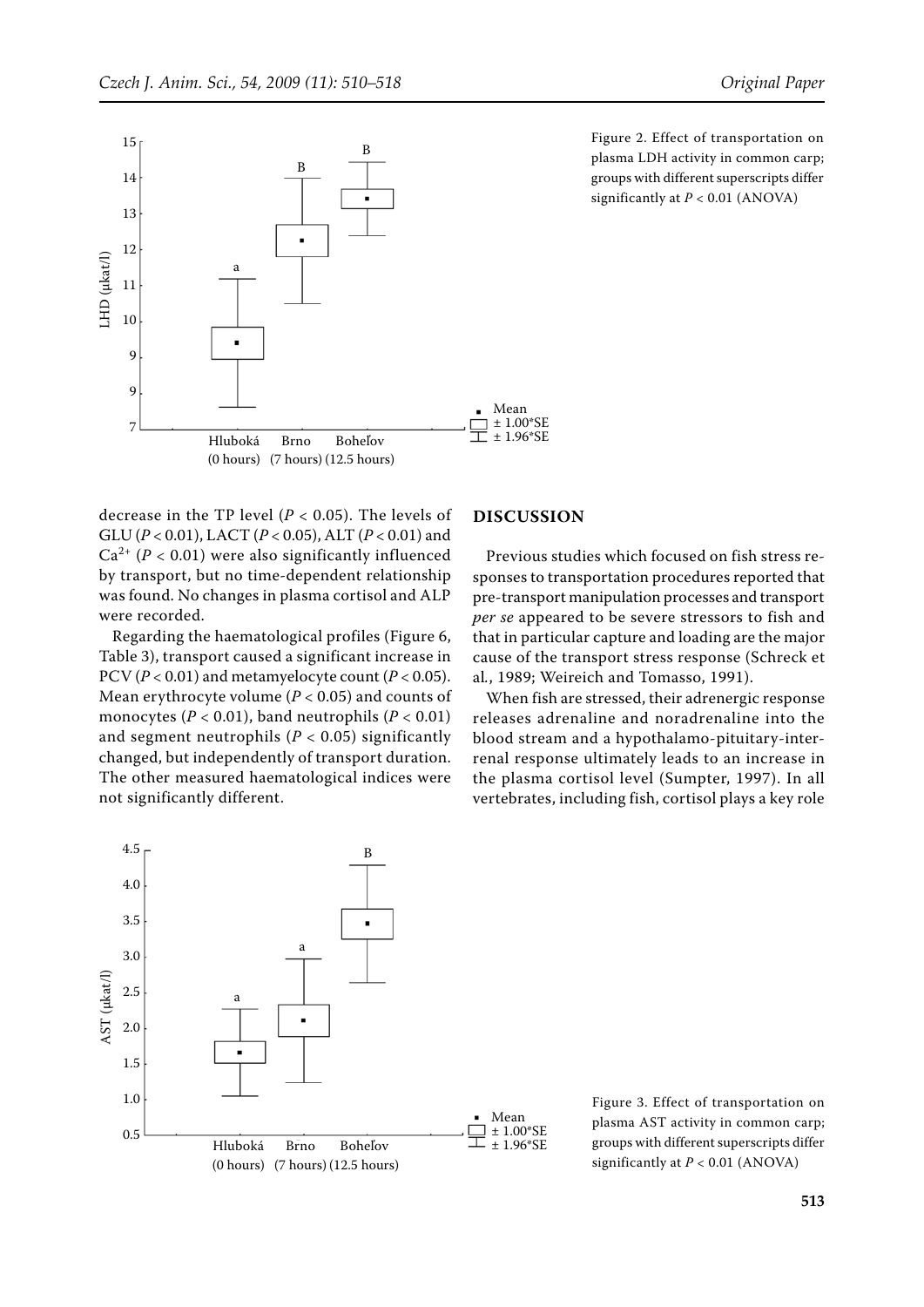

decrease in the TP level (*P* < 0.05). The levels of GLU (*P* < 0.01), LACT (*P* < 0.05), ALT (*P* < 0.01) and  $Ca^{2+} (P < 0.01)$  were also significantly influenced by transport, but no time-dependent relationship was found. No changes in plasma cortisol and ALP were recorded.

Regarding the haematological profiles (Figure 6, Table 3), transport caused a significant increase in PCV (*P* < 0.01) and metamyelocyte count (*P* < 0.05). Mean erythrocyte volume ( $P < 0.05$ ) and counts of monocytes ( $P < 0.01$ ), band neutrophils ( $P < 0.01$ ) and segment neutrophils  $(P < 0.05)$  significantly changed, but independently of transport duration. The other measured haematological indices were not significantly different.

#### **DISCUSSION**

Previous studies which focused on fish stress responses to transportation procedures reported that pre-transport manipulation processes and transport *per se* appeared to be severe stressors to fish and that in particular capture and loading are the major cause of the transport stress response (Schreck et al*.*, 1989; Weireich and Tomasso, 1991).

When fish are stressed, their adrenergic response releases adrenaline and noradrenaline into the blood stream and a hypothalamo-pituitary-interrenal response ultimately leads to an increase in the plasma cortisol level (Sumpter, 1997). In all vertebrates, including fish, cortisol plays a key role



Figure 3. Effect of transportation on plasma AST activity in common carp; groups with different superscripts differ significantly at *P* < 0.01 (ANOVA)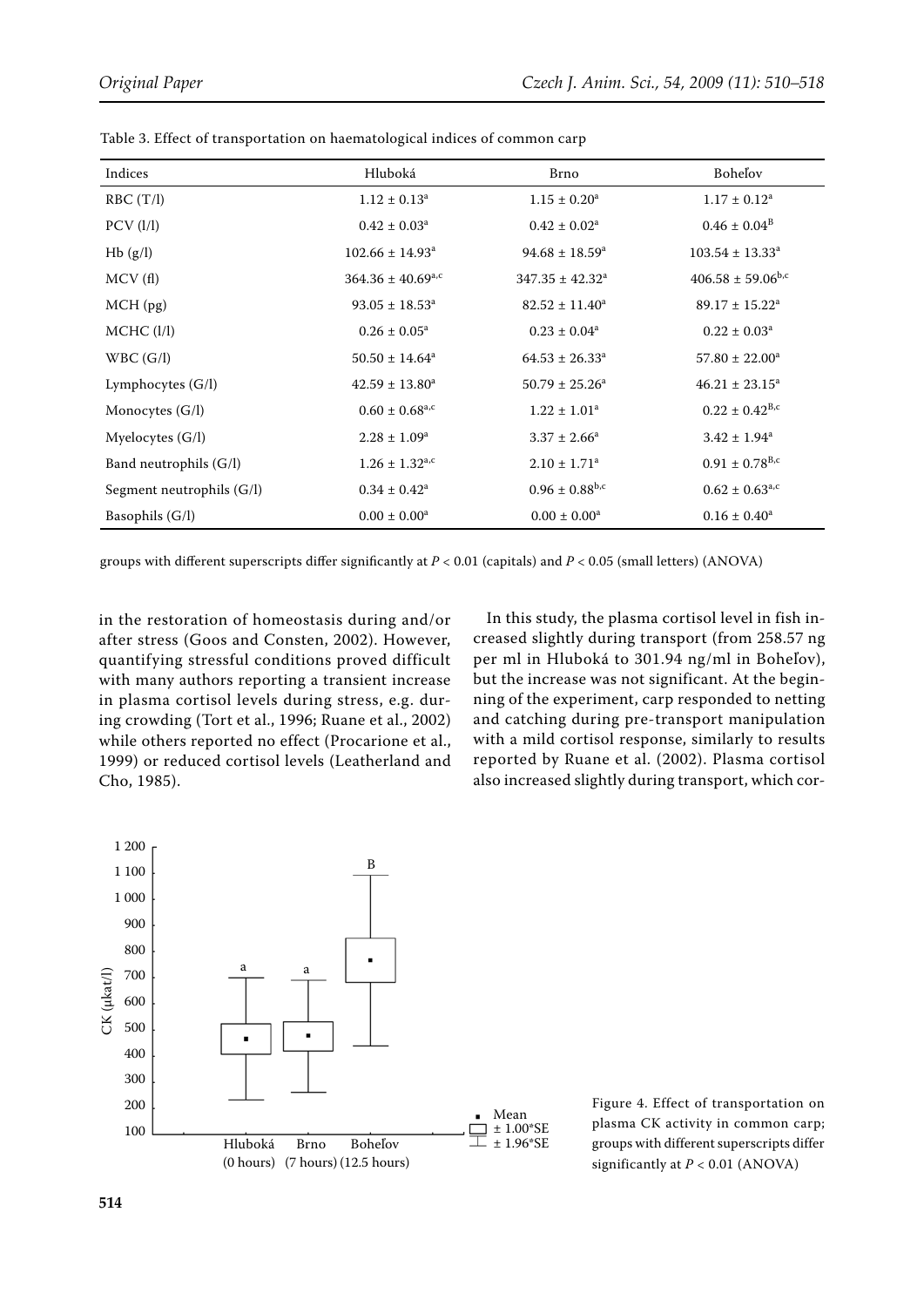| Indices                   | Hluboká                         | <b>Brno</b>                  | <b>Bohelov</b>               |
|---------------------------|---------------------------------|------------------------------|------------------------------|
| RBC(T/I)                  | $1.12 \pm 0.13^a$               | $1.15 \pm 0.20^a$            | $1.17 \pm 0.12^a$            |
| $PCV$ ( $1/1$ )           | $0.42 \pm 0.03^a$               | $0.42 \pm 0.02^a$            | $0.46 \pm 0.04^{\rm B}$      |
| Hb(g/l)                   | $102.66 \pm 14.93$ <sup>a</sup> | $94.68 \pm 18.59^{\circ}$    | $103.54 \pm 13.33^a$         |
| MCV(f)                    | $364.36 \pm 40.69^{\text{a,c}}$ | $347.35 \pm 42.32^a$         | $406.58 \pm 59.06^{b,c}$     |
| $MCH$ (pg)                | $93.05 \pm 18.53^a$             | $82.52 \pm 11.40^a$          | $89.17 \pm 15.22^{\text{a}}$ |
| MCHC (I/I)                | $0.26 \pm 0.05^a$               | $0.23 \pm 0.04^a$            | $0.22 \pm 0.03^a$            |
| WBC(G/I)                  | $50.50 \pm 14.64^a$             | $64.53 \pm 26.33^a$          | $57.80 \pm 22.00^a$          |
| Lymphocytes $(G/I)$       | $42.59 \pm 13.80^a$             | $50.79 \pm 25.26^a$          | $46.21 \pm 23.15^a$          |
| Monocytes (G/l)           | $0.60 \pm 0.68^{\text{a,c}}$    | $1.22 \pm 1.01^a$            | $0.22 \pm 0.42^{\rm B,c}$    |
| Myelocytes (G/l)          | $2.28 \pm 1.09^a$               | $3.37 \pm 2.66^a$            | $3.42 \pm 1.94^a$            |
| Band neutrophils (G/l)    | $1.26 \pm 1.32^{\text{a,c}}$    | $2.10 \pm 1.71$ <sup>a</sup> | $0.91 \pm 0.78^{B,c}$        |
| Segment neutrophils (G/l) | $0.34 \pm 0.42^a$               | $0.96 \pm 0.88^{\rm b,c}$    | $0.62 \pm 0.63^{\rm a,c}$    |
| Basophils (G/l)           | $0.00 \pm 0.00^a$               | $0.00 \pm 0.00^a$            | $0.16 \pm 0.40^a$            |

Table 3. Effect of transportation on haematological indices of common carp

groups with different superscripts differ significantly at *P* < 0.01 (capitals) and *P* < 0.05 (small letters) (ANOVA)

in the restoration of homeostasis during and/or after stress (Goos and Consten, 2002). However, quantifying stressful conditions proved difficult with many authors reporting a transient increase in plasma cortisol levels during stress, e.g. during crowding (Tort et al., 1996; Ruane et al., 2002) while others reported no effect (Procarione et al., 1999) or reduced cortisol levels (Leatherland and Cho, 1985).

In this study, the plasma cortisol level in fish increased slightly during transport (from 258.57 ng per ml in Hluboká to 301.94 ng/ml in Boheľov), but the increase was not significant. At the beginning of the experiment, carp responded to netting and catching during pre-transport manipulation with a mild cortisol response, similarly to results reported by Ruane et al. (2002). Plasma cortisol also increased slightly during transport, which cor-



Figure 4. Effect of transportation on plasma CK activity in common carp; groups with different superscripts differ significantly at *P* < 0.01 (ANOVA)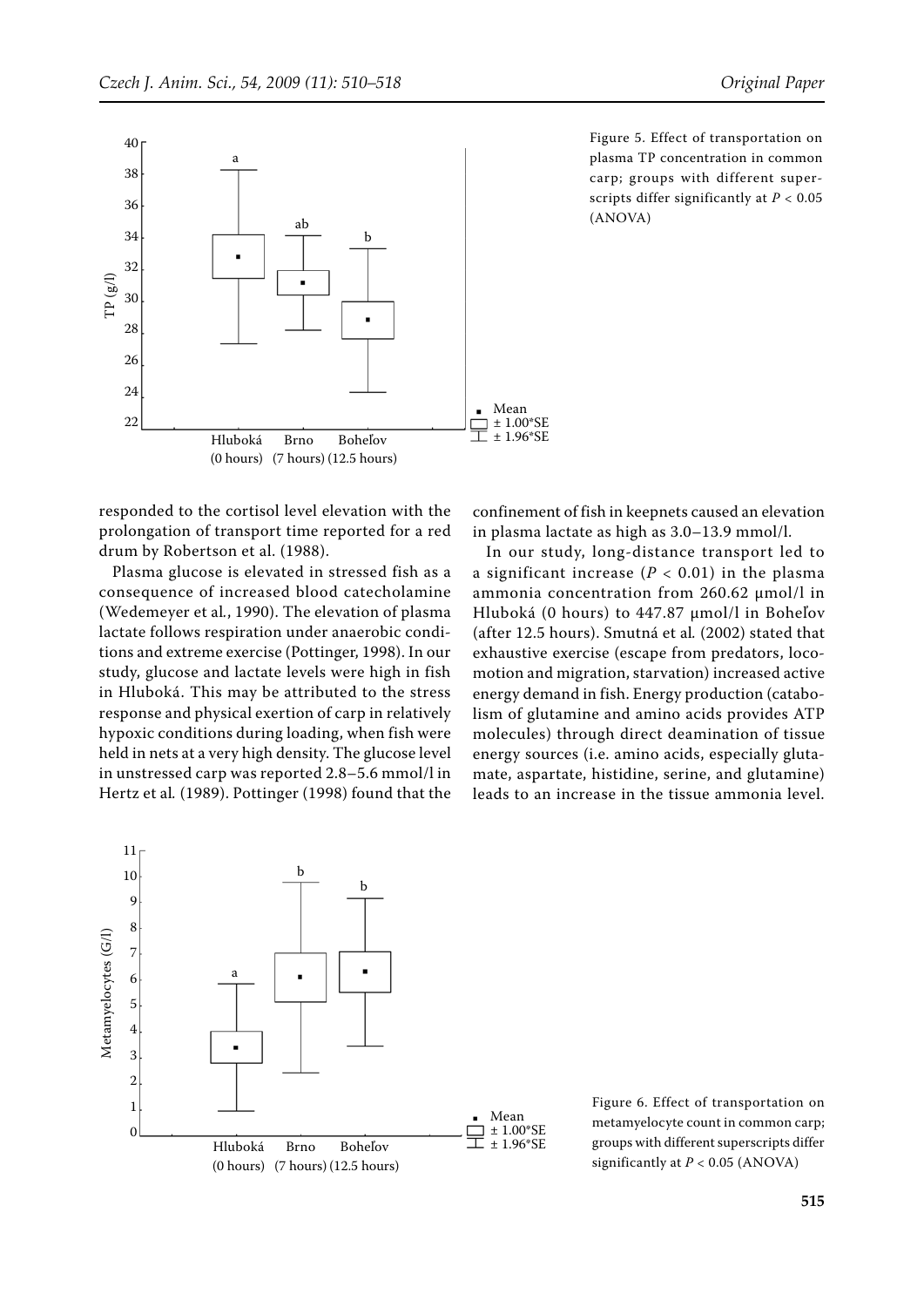

responded to the cortisol level elevation with the prolongation of transport time reported for a red drum by Robertson et al. (1988).

Plasma glucose is elevated in stressed fish as a consequence of increased blood catecholamine (Wedemeyer et al*.*, 1990). The elevation of plasma lactate follows respiration under anaerobic conditions and extreme exercise (Pottinger, 1998). In our study, glucose and lactate levels were high in fish in Hluboká. This may be attributed to the stress response and physical exertion of carp in relatively hypoxic conditions during loading, when fish were held in nets at a very high density. The glucose level in unstressed carp was reported 2.8–5.6 mmol/l in Hertz et al*.* (1989). Pottinger (1998) found that the

Figure 5. Effect of transportation on plasma TP concentration in common carp; groups with different superscripts differ significantly at *P* < 0.05 (ANOVA)

confinement of fish in keepnets caused an elevation in plasma lactate as high as 3.0–13.9 mmol/l.

In our study, long-distance transport led to a significant increase  $(P < 0.01)$  in the plasma ammonia concentration from 260.62 μmol/l in Hluboká (0 hours) to 447.87 μmol/l in Boheľov (after 12.5 hours). Smutná et al*.* (2002) stated that exhaustive exercise (escape from predators, locomotion and migration, starvation) increased active energy demand in fish. Energy production (catabolism of glutamine and amino acids provides ATP molecules) through direct deamination of tissue energy sources (i.e. amino acids, especially glutamate, aspartate, histidine, serine, and glutamine) leads to an increase in the tissue ammonia level.



Figure 6. Effect of transportation on metamyelocyte count in common carp; groups with different superscripts differ significantly at *P* < 0.05 (ANOVA)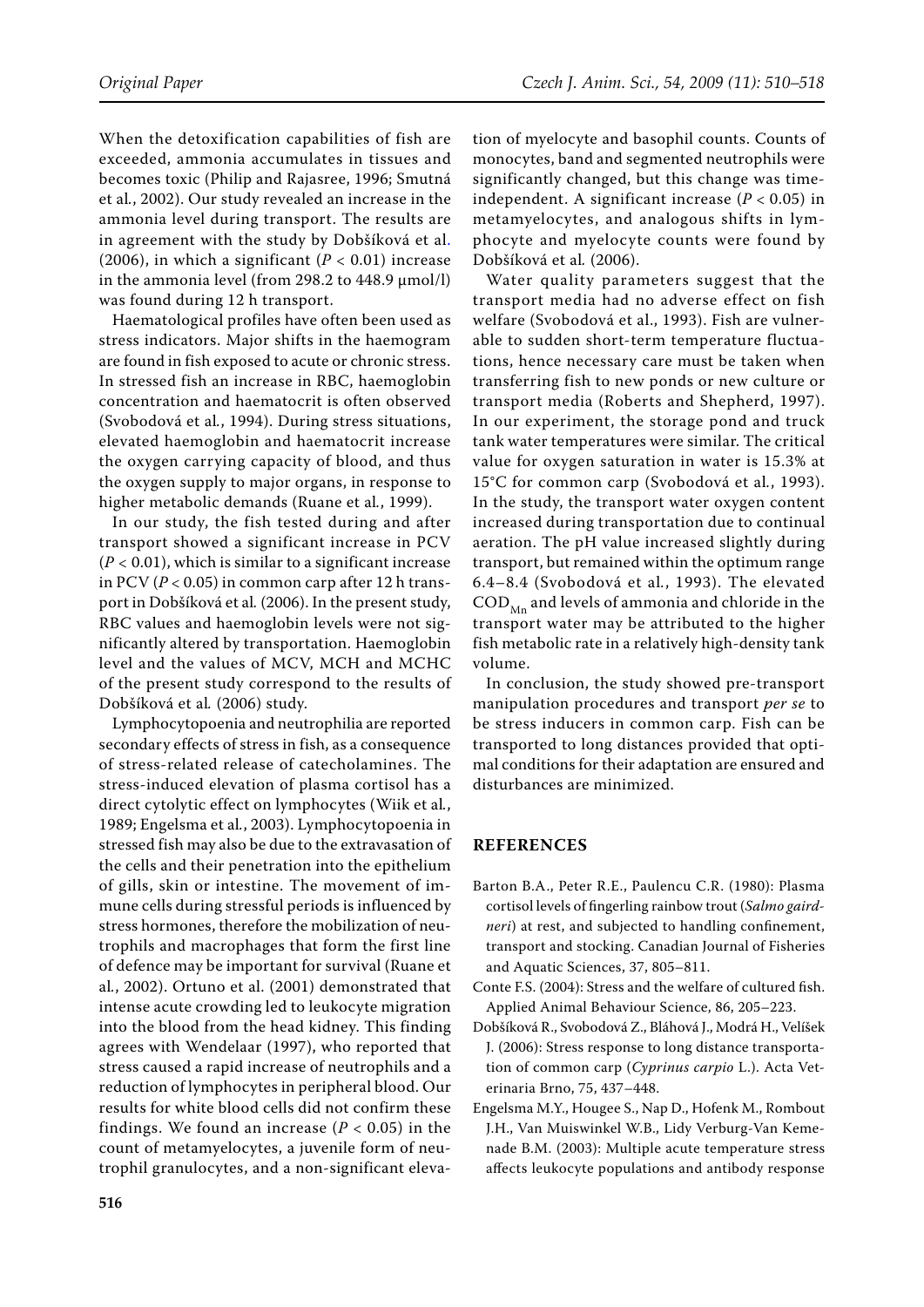When the detoxification capabilities of fish are exceeded, ammonia accumulates in tissues and becomes toxic (Philip and Rajasree, 1996; Smutná et al*.*, 2002). Our study revealed an increase in the ammonia level during transport. The results are in agreement with the study by Dobšíková et al. (2006), in which a significant  $(P < 0.01)$  increase in the ammonia level (from 298.2 to 448.9 μmol/l) was found during 12 h transport.

Haematological profiles have often been used as stress indicators. Major shifts in the haemogram are found in fish exposed to acute or chronic stress. In stressed fish an increase in RBC, haemoglobin concentration and haematocrit is often observed (Svobodová et al*.*, 1994). During stress situations, elevated haemoglobin and haematocrit increase the oxygen carrying capacity of blood, and thus the oxygen supply to major organs, in response to higher metabolic demands (Ruane et al*.*, 1999).

In our study, the fish tested during and after transport showed a significant increase in PCV (*P* < 0.01), which is similar to a significant increase in PCV ( $P < 0.05$ ) in common carp after 12 h transport in Dobšíková et al*.* (2006). In the present study, RBC values and haemoglobin levels were not significantly altered by transportation. Haemoglobin level and the values of MCV, MCH and MCHC of the present study correspond to the results of Dobšíková et al*.* (2006) study.

Lymphocytopoenia and neutrophilia are reported secondary effects of stress in fish, as a consequence of stress-related release of catecholamines. The stress-induced elevation of plasma cortisol has a direct cytolytic effect on lymphocytes (Wiik et al*.*, 1989; Engelsma et al*.*, 2003). Lymphocytopoenia in stressed fish may also be due to the extravasation of the cells and their penetration into the epithelium of gills, skin or intestine. The movement of immune cells during stressful periods is influenced by stress hormones, therefore the mobilization of neutrophils and macrophages that form the first line of defence may be important for survival (Ruane et al*.*, 2002). Ortuno et al. (2001) demonstrated that intense acute crowding led to leukocyte migration into the blood from the head kidney. This finding agrees with Wendelaar (1997), who reported that stress caused a rapid increase of neutrophils and a reduction of lymphocytes in peripheral blood. Our results for white blood cells did not confirm these findings. We found an increase  $(P < 0.05)$  in the count of metamyelocytes, a juvenile form of neutrophil granulocytes, and a non-significant elevation of myelocyte and basophil counts. Counts of monocytes, band and segmented neutrophils were significantly changed, but this change was timeindependent. A significant increase (*P* < 0.05) in metamyelocytes, and analogous shifts in lymphocyte and myelocyte counts were found by Dobšíková et al*.* (2006).

Water quality parameters suggest that the transport media had no adverse effect on fish welfare (Svobodová et al., 1993). Fish are vulnerable to sudden short-term temperature fluctuations, hence necessary care must be taken when transferring fish to new ponds or new culture or transport media (Roberts and Shepherd, 1997). In our experiment, the storage pond and truck tank water temperatures were similar. The critical value for oxygen saturation in water is 15.3% at 15°C for common carp (Svobodová et al*.*, 1993). In the study, the transport water oxygen content increased during transportation due to continual aeration. The pH value increased slightly during transport, but remained within the optimum range 6.4–8.4 (Svobodová et al*.*, 1993). The elevated  $\mathrm{COD}_M$  and levels of ammonia and chloride in the transport water may be attributed to the higher fish metabolic rate in a relatively high-density tank volume.

In conclusion, the study showed pre-transport manipulation procedures and transport *per se* to be stress inducers in common carp. Fish can be transported to long distances provided that optimal conditions for their adaptation are ensured and disturbances are minimized.

### **REFERENCES**

- Barton B.A., Peter R.E., Paulencu C.R. (1980): Plasma cortisol levels of fingerling rainbow trout (*Salmo gairdneri*) at rest, and subjected to handling confinement, transport and stocking. Canadian Journal of Fisheries and Aquatic Sciences, 37, 805–811.
- Conte F.S. (2004): Stress and the welfare of cultured fish. Applied Animal Behaviour Science, 86, 205–223.
- Dobšíková R., Svobodová Z., Bláhová J., Modrá H., Velíšek J. (2006): Stress response to long distance transportation of common carp (*Cyprinus carpio* L.). Acta Veterinaria Brno, 75, 437–448.
- Engelsma M.Y., Hougee S., Nap D., Hofenk M., Rombout J.H., Van Muiswinkel W.B., Lidy Verburg-Van Kemenade B.M. (2003): Multiple acute temperature stress affects leukocyte populations and antibody response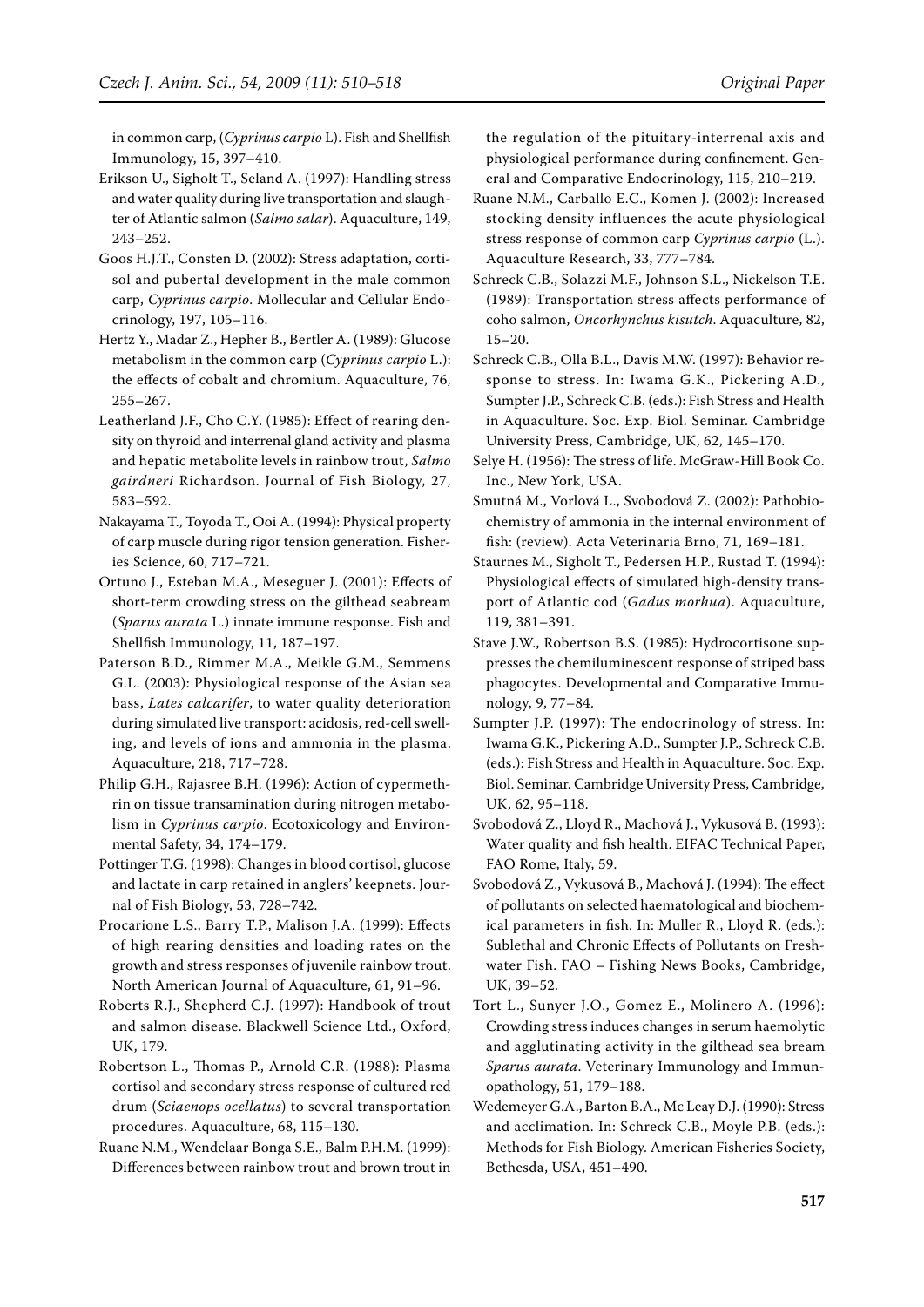in common carp, (*Cyprinus carpio* L). Fish and Shellfish Immunology, 15, 397–410.

- Erikson U., Sigholt T., Seland A. (1997): Handling stress and water quality during live transportation and slaughter of Atlantic salmon (*Salmo salar*). Aquaculture, 149, 243–252.
- Goos H.J.T., Consten D. (2002): Stress adaptation, cortisol and pubertal development in the male common carp, *Cyprinus carpio*. Mollecular and Cellular Endocrinology, 197, 105–116.
- Hertz Y., Madar Z., Hepher B., Bertler A. (1989): Glucose metabolism in the common carp (*Cyprinus carpio* L.): the effects of cobalt and chromium. Aquaculture, 76, 255–267.
- Leatherland J.F., Cho C.Y. (1985): Effect of rearing density on thyroid and interrenal gland activity and plasma and hepatic metabolite levels in rainbow trout, *Salmo gairdneri* Richardson. Journal of Fish Biology, 27, 583–592.
- Nakayama T., Toyoda T., Ooi A. (1994): Physical property of carp muscle during rigor tension generation. Fisheries Science, 60, 717–721.
- Ortuno J., Esteban M.A., Meseguer J. (2001): Effects of short-term crowding stress on the gilthead seabream (*Sparus aurata* L.) innate immune response. Fish and Shellfish Immunology, 11, 187–197.
- Paterson B.D., Rimmer M.A., Meikle G.M., Semmens G.L. (2003): Physiological response of the Asian sea bass, *Lates calcarifer*, to water quality deterioration during simulated live transport: acidosis, red-cell swelling, and levels of ions and ammonia in the plasma. Aquaculture, 218, 717–728.
- Philip G.H., Rajasree B.H. (1996): Action of cypermethrin on tissue transamination during nitrogen metabolism in *Cyprinus carpio*. Ecotoxicology and Environmental Safety, 34, 174–179.
- Pottinger T.G. (1998): Changes in blood cortisol, glucose and lactate in carp retained in anglers' keepnets. Journal of Fish Biology, 53, 728–742.
- Procarione L.S., Barry T.P., Malison J.A. (1999): Effects of high rearing densities and loading rates on the growth and stress responses of juvenile rainbow trout. North American Journal of Aquaculture, 61, 91–96.
- Roberts R.J., Shepherd C.J. (1997): Handbook of trout and salmon disease. Blackwell Science Ltd., Oxford, UK, 179.
- Robertson L., Thomas P., Arnold C.R. (1988): Plasma cortisol and secondary stress response of cultured red drum (*Sciaenops ocellatus*) to several transportation procedures. Aquaculture, 68, 115–130.
- Ruane N.M., Wendelaar Bonga S.E., Balm P.H.M. (1999): Differences between rainbow trout and brown trout in

the regulation of the pituitary-interrenal axis and physiological performance during confinement. General and Comparative Endocrinology, 115, 210–219.

- Ruane N.M., Carballo E.C., Komen J. (2002): Increased stocking density influences the acute physiological stress response of common carp *Cyprinus carpio* (L.). Aquaculture Research, 33, 777–784.
- Schreck C.B., Solazzi M.F., Johnson S.L., Nickelson T.E. (1989): Transportation stress affects performance of coho salmon, *Oncorhynchus kisutch*. Aquaculture, 82, 15–20.
- Schreck C.B., Olla B.L., Davis M.W. (1997): Behavior response to stress. In: Iwama G.K., Pickering A.D., Sumpter J.P., Schreck C.B. (eds.): Fish Stress and Health in Aquaculture. Soc. Exp. Biol. Seminar. Cambridge University Press, Cambridge, UK, 62, 145–170.
- Selye H. (1956): The stress of life. McGraw-Hill Book Co. Inc., New York, USA.
- Smutná M., Vorlová L., Svobodová Z. (2002): Pathobiochemistry of ammonia in the internal environment of fish: (review). Acta Veterinaria Brno, 71, 169–181.
- Staurnes M., Sigholt T., Pedersen H.P., Rustad T. (1994): Physiological effects of simulated high-density transport of Atlantic cod (*Gadus morhua*). Aquaculture, 119, 381–391.
- Stave J.W., Robertson B.S. (1985): Hydrocortisone suppresses the chemiluminescent response of striped bass phagocytes. Developmental and Comparative Immunology, 9, 77–84.
- Sumpter J.P. (1997): The endocrinology of stress. In: Iwama G.K., Pickering A.D., Sumpter J.P., Schreck C.B. (eds.): Fish Stress and Health in Aquaculture. Soc. Exp. Biol. Seminar. Cambridge University Press, Cambridge, UK, 62, 95–118.
- Svobodová Z., Lloyd R., Machová J., Vykusová B. (1993): Water quality and fish health. EIFAC Technical Paper, FAO Rome, Italy, 59.
- Svobodová Z., Vykusová B., Machová J. (1994): The effect of pollutants on selected haematological and biochemical parameters in fish. In: Muller R., Lloyd R. (eds.): Sublethal and Chronic Effects of Pollutants on Freshwater Fish. FAO – Fishing News Books, Cambridge, UK, 39–52.
- Tort L., Sunyer J.O., Gomez E., Molinero A. (1996): Crowding stress induces changes in serum haemolytic and agglutinating activity in the gilthead sea bream *Sparus aurata*. Veterinary Immunology and Immunopathology, 51, 179–188.
- Wedemeyer G.A., Barton B.A., Mc Leay D.J. (1990): Stress and acclimation. In: Schreck C.B., Moyle P.B. (eds.): Methods for Fish Biology. American Fisheries Society, Bethesda, USA, 451–490.